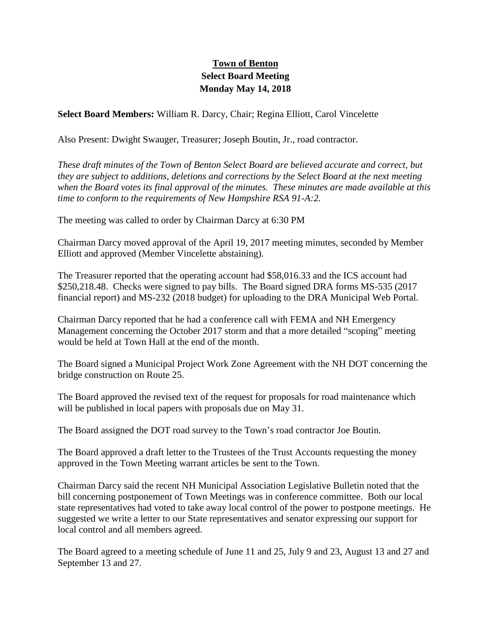## **Town of Benton Select Board Meeting Monday May 14, 2018**

**Select Board Members:** William R. Darcy, Chair; Regina Elliott, Carol Vincelette

Also Present: Dwight Swauger, Treasurer; Joseph Boutin, Jr., road contractor.

*These draft minutes of the Town of Benton Select Board are believed accurate and correct, but they are subject to additions, deletions and corrections by the Select Board at the next meeting when the Board votes its final approval of the minutes. These minutes are made available at this time to conform to the requirements of New Hampshire RSA 91-A:2.*

The meeting was called to order by Chairman Darcy at 6:30 PM

Chairman Darcy moved approval of the April 19, 2017 meeting minutes, seconded by Member Elliott and approved (Member Vincelette abstaining).

The Treasurer reported that the operating account had \$58,016.33 and the ICS account had \$250,218.48. Checks were signed to pay bills. The Board signed DRA forms MS-535 (2017 financial report) and MS-232 (2018 budget) for uploading to the DRA Municipal Web Portal.

Chairman Darcy reported that he had a conference call with FEMA and NH Emergency Management concerning the October 2017 storm and that a more detailed "scoping" meeting would be held at Town Hall at the end of the month.

The Board signed a Municipal Project Work Zone Agreement with the NH DOT concerning the bridge construction on Route 25.

The Board approved the revised text of the request for proposals for road maintenance which will be published in local papers with proposals due on May 31.

The Board assigned the DOT road survey to the Town's road contractor Joe Boutin.

The Board approved a draft letter to the Trustees of the Trust Accounts requesting the money approved in the Town Meeting warrant articles be sent to the Town.

Chairman Darcy said the recent NH Municipal Association Legislative Bulletin noted that the bill concerning postponement of Town Meetings was in conference committee. Both our local state representatives had voted to take away local control of the power to postpone meetings. He suggested we write a letter to our State representatives and senator expressing our support for local control and all members agreed.

The Board agreed to a meeting schedule of June 11 and 25, July 9 and 23, August 13 and 27 and September 13 and 27.